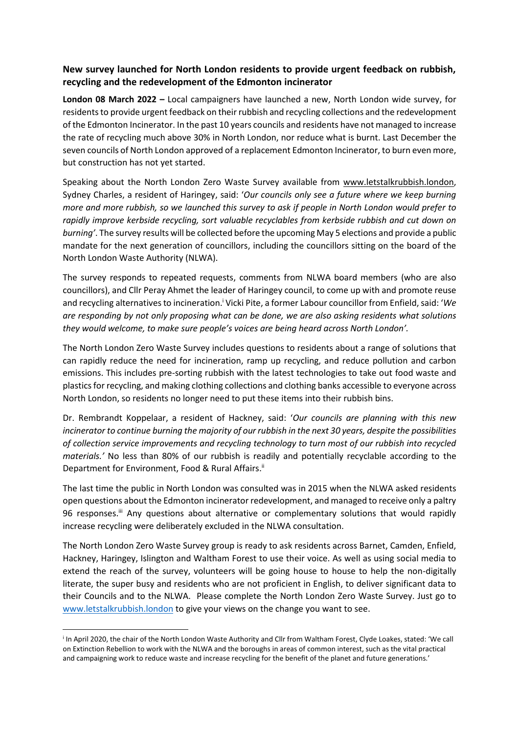## **New survey launched for North London residents to provide urgent feedback on rubbish, recycling and the redevelopment of the Edmonton incinerator**

**London 08 March 2022 –** Local campaigners have launched a new, North London wide survey, for residents to provide urgent feedback on their rubbish and recycling collections and the redevelopment of the Edmonton Incinerator. In the past 10 years councils and residents have not managed to increase the rate of recycling much above 30% in North London, nor reduce what is burnt. Last December the seven councils of North London approved of a replacement Edmonton Incinerator, to burn even more, but construction has not yet started.

Speaking about the North London Zero Waste Survey available from [www.letstalkrubbish.london,](http://www.letstalkrubbish.london/) Sydney Charles, a resident of Haringey, said: '*Our councils only see a future where we keep burning more and more rubbish, so we launched this survey to ask if people in North London would prefer to rapidly improve kerbside recycling, sort valuable recyclables from kerbside rubbish and cut down on burning'*. The survey results will be collected before the upcoming May 5 elections and provide a public mandate for the next generation of councillors, including the councillors sitting on the board of the North London Waste Authority (NLWA).

The survey responds to repeated requests, comments from NLWA board members (who are also councillors), and Cllr Peray Ahmet the leader of Haringey council, to come up with and promote reuse and recycling alternativesto incineration.<sup>i</sup> Vicki Pite, a former Labour councillor from Enfield, said: '*We are responding by not only proposing what can be done, we are also asking residents what solutions they would welcome, to make sure people's voices are being heard across North London'.* 

The North London Zero Waste Survey includes questions to residents about a range of solutions that can rapidly reduce the need for incineration, ramp up recycling, and reduce pollution and carbon emissions. This includes pre-sorting rubbish with the latest technologies to take out food waste and plastics for recycling, and making clothing collections and clothing banks accessible to everyone across North London, so residents no longer need to put these items into their rubbish bins.

Dr. Rembrandt Koppelaar, a resident of Hackney, said: '*Our councils are planning with this new incinerator to continue burning the majority of our rubbish in the next 30 years, despite the possibilities of collection service improvements and recycling technology to turn most of our rubbish into recycled materials.'* No less than 80% of our rubbish is readily and potentially recyclable according to the Department for Environment, Food & Rural Affairs.<sup>ii</sup>

The last time the public in North London was consulted was in 2015 when the NLWA asked residents open questions about the Edmonton incinerator redevelopment, and managed to receive only a paltry 96 responses.<sup>ii</sup> Any questions about alternative or complementary solutions that would rapidly increase recycling were deliberately excluded in the NLWA consultation.

The North London Zero Waste Survey group is ready to ask residents across Barnet, Camden, Enfield, Hackney, Haringey, Islington and Waltham Forest to use their voice. As well as using social media to extend the reach of the survey, volunteers will be going house to house to help the non-digitally literate, the super busy and residents who are not proficient in English, to deliver significant data to their Councils and to the NLWA. Please complete the North London Zero Waste Survey. Just go to [www.letstalkrubbish.london](http://www.letstalkrubbish.london/) to give your views on the change you want to see.

i In April 2020, the chair of the North London Waste Authority and Cllr from Waltham Forest, Clyde Loakes, stated: 'We call on Extinction Rebellion to work with the NLWA and the boroughs in areas of common interest, such as the vital practical and campaigning work to reduce waste and increase recycling for the benefit of the planet and future generations.'